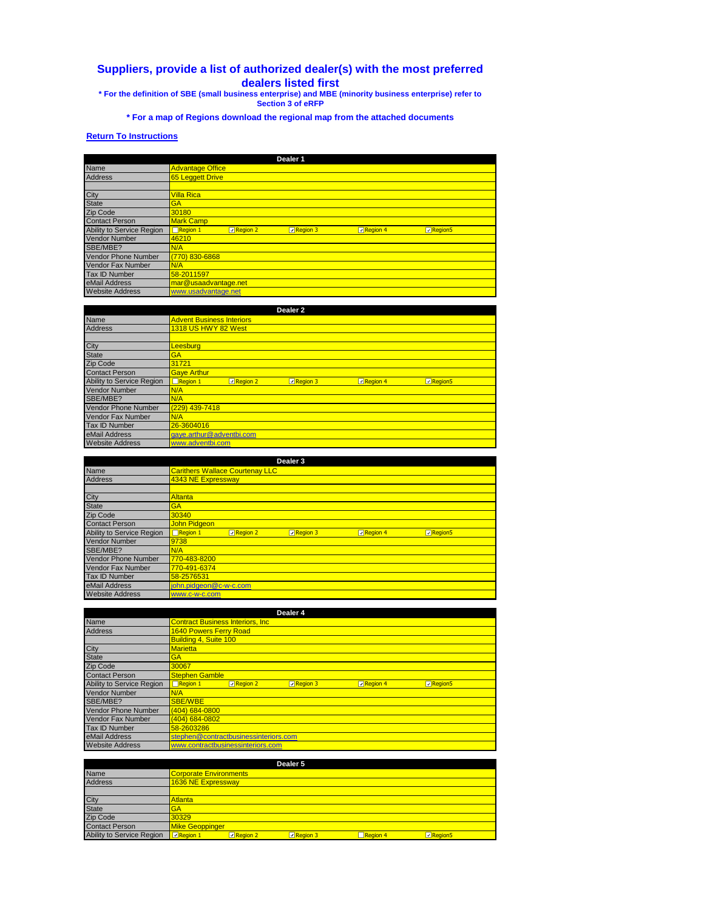## **Suppliers, provide a list of authorized dealer(s) with the most preferred dealers listed first \* For the definition of SBE (small business enterprise) and MBE (minority business enterprise) refer to**

**Section 3 of eRFP**

**\* For a map of Regions download the regional map from the attached documents**

## **Return To Instructions**

|                            | Dealer 1                                                                                     |
|----------------------------|----------------------------------------------------------------------------------------------|
| Name                       | <b>Advantage Office</b>                                                                      |
| <b>Address</b>             | 65 Leggett Drive                                                                             |
|                            |                                                                                              |
| City                       | <b>Villa Rica</b>                                                                            |
| <b>State</b>               | <b>GA</b>                                                                                    |
| <b>Zip Code</b>            | 30180                                                                                        |
| <b>Contact Person</b>      | <b>Mark Camp</b>                                                                             |
| Ability to Service Region  | $\Box$ Region 1<br>Region 4<br>$\n  Reqion 2\n$<br>Region 3<br><b><u><b></b></u></b> Region5 |
| <b>Vendor Number</b>       | 46210                                                                                        |
| SBE/MBE?                   | N/A                                                                                          |
| <b>Vendor Phone Number</b> | (770) 830-6868                                                                               |
| <b>Vendor Fax Number</b>   | N/A                                                                                          |
| <b>Tax ID Number</b>       | 58-2011597                                                                                   |
| eMail Address              | mar@usaadvantage.net                                                                         |
| <b>Website Address</b>     | www.usadvantage.net                                                                          |

|                            |                                  | Dealer <sub>2</sub> |                  |          |                |
|----------------------------|----------------------------------|---------------------|------------------|----------|----------------|
| <b>Name</b>                | <b>Advent Business Interiors</b> |                     |                  |          |                |
| <b>Address</b>             | <b>1318 US HWY 82 West</b>       |                     |                  |          |                |
|                            |                                  |                     |                  |          |                |
| City                       | Leesburg                         |                     |                  |          |                |
| <b>State</b>               | <b>GA</b>                        |                     |                  |          |                |
| Zip Code                   | 31721                            |                     |                  |          |                |
| <b>Contact Person</b>      | <b>Gaye Arthur</b>               |                     |                  |          |                |
| Ability to Service Region  | $\Box$ Region 1                  | <b>D</b> Region 2   | $\n  Reqion 3\n$ | Region 4 | <b>Region5</b> |
| <b>Vendor Number</b>       | N/A                              |                     |                  |          |                |
| SBE/MBE?                   | N/A                              |                     |                  |          |                |
| <b>Vendor Phone Number</b> | (229) 439-7418                   |                     |                  |          |                |
| <b>Vendor Fax Number</b>   | N/A                              |                     |                  |          |                |
| <b>Tax ID Number</b>       | 26-3604016                       |                     |                  |          |                |
| eMail Address              | gaye.arthur@adventbi.com         |                     |                  |          |                |
| <b>Website Address</b>     | www.adventbi.com                 |                     |                  |          |                |

|                            |                        |                                        | Dealer 3 |                   |                |  |
|----------------------------|------------------------|----------------------------------------|----------|-------------------|----------------|--|
| Name                       |                        | <b>Carithers Wallace Courtenay LLC</b> |          |                   |                |  |
| <b>Address</b>             | 4343 NE Expressway     |                                        |          |                   |                |  |
|                            |                        |                                        |          |                   |                |  |
| City                       | Altanta                |                                        |          |                   |                |  |
| <b>State</b>               | <b>GA</b>              |                                        |          |                   |                |  |
| <b>Zip Code</b>            | 30340                  |                                        |          |                   |                |  |
| <b>Contact Person</b>      | <b>John Pidgeon</b>    |                                        |          |                   |                |  |
| Ability to Service Region  | $\Box$ Region 1        | <b>ा</b> Region 2                      | Region 3 | <b>D</b> Region 4 | <b>Region5</b> |  |
| <b>Vendor Number</b>       | 9738                   |                                        |          |                   |                |  |
| SBE/MBE?                   | N/A                    |                                        |          |                   |                |  |
| <b>Vendor Phone Number</b> | 770-483-8200           |                                        |          |                   |                |  |
| <b>Vendor Fax Number</b>   | 770-491-6374           |                                        |          |                   |                |  |
| <b>Tax ID Number</b>       | 58-2576531             |                                        |          |                   |                |  |
| eMail Address              | john.pidgeon@c-w-c.com |                                        |          |                   |                |  |
| <b>Website Address</b>     | www.c-w-c.com          |                                        |          |                   |                |  |

|                            | Dealer 4                                                                               |
|----------------------------|----------------------------------------------------------------------------------------|
| <b>Name</b>                | <b>Contract Business Interiors, Inc.</b>                                               |
| <b>Address</b>             | <b>1640 Powers Ferry Road</b>                                                          |
|                            | Building 4, Suite 100                                                                  |
| City                       | <b>Marietta</b>                                                                        |
| <b>State</b>               | <b>GA</b>                                                                              |
| <b>Zip Code</b>            | 30067                                                                                  |
| <b>Contact Person</b>      | <b>Stephen Gamble</b>                                                                  |
| Ability to Service Region  | $\Box$ Region 1<br>$\nabla$ Region 2<br>Region 3<br>$\n  Reqion 4\n$<br><b>Region5</b> |
| <b>Vendor Number</b>       | N/A                                                                                    |
| SBE/MBE?                   | <b>SBE/WBE</b>                                                                         |
| <b>Vendor Phone Number</b> | (404) 684-0800                                                                         |
| <b>Vendor Fax Number</b>   | (404) 684-0802                                                                         |
| <b>Tax ID Number</b>       | 58-2603286                                                                             |
| eMail Address              | stephen@contractbusinessinteriors.com                                                  |
| <b>Website Address</b>     | www.contractbusinessinteriors.com                                                      |

|                           |                               |                    | Dealer 5 |                 |                |
|---------------------------|-------------------------------|--------------------|----------|-----------------|----------------|
| Name                      | <b>Corporate Environments</b> |                    |          |                 |                |
| <b>Address</b>            |                               | 1636 NE Expressway |          |                 |                |
|                           |                               |                    |          |                 |                |
| City                      | Atlanta                       |                    |          |                 |                |
| <b>State</b>              | GA                            |                    |          |                 |                |
| Zip Code                  | 30329                         |                    |          |                 |                |
| <b>Contact Person</b>     | <b>Mike Geoppinger</b>        |                    |          |                 |                |
| Ability to Service Region | <b>D</b> Region 1             | $\n  Reqion 2\n$   | Region 3 | $\Box$ Region 4 | <b>Region5</b> |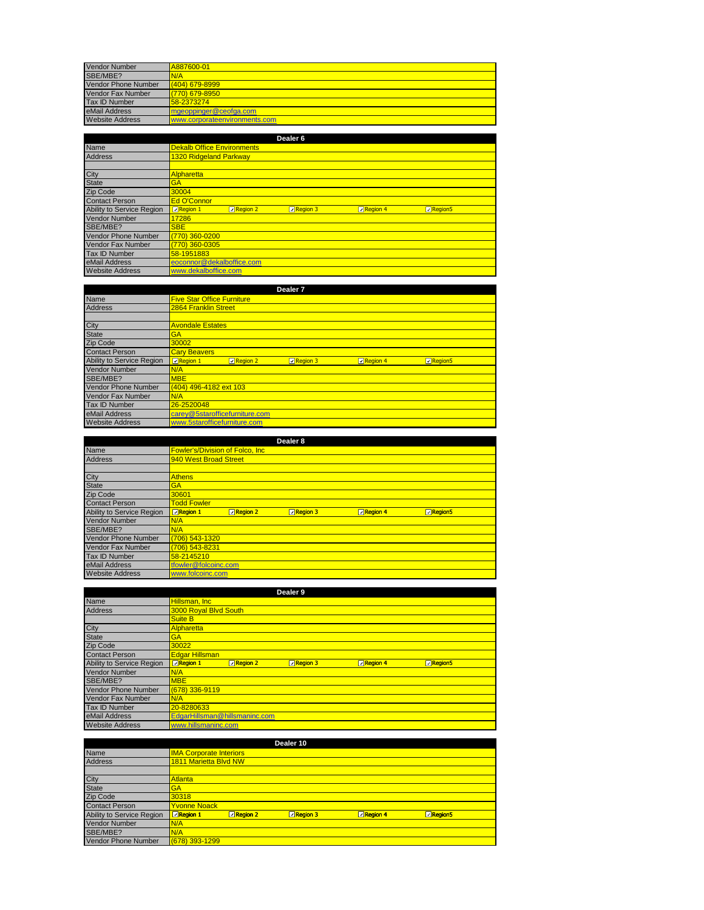| <b>Vendor Number</b>       | A887600-01                    |
|----------------------------|-------------------------------|
| SBE/MBE?                   | N/A                           |
| <b>Vendor Phone Number</b> | $(404)$ 679-8999              |
| Vendor Fax Number          | $(770)$ 679-8950              |
| <b>Tax ID Number</b>       | 58-2373274                    |
| eMail Address              | mgeoppinger@ceofga.com        |
| <b>Website Address</b>     | www.corporateenvironments.com |

|                            | Dealer <sub>6</sub>                                                              |
|----------------------------|----------------------------------------------------------------------------------|
| Name                       | <b>Dekalb Office Environments</b>                                                |
| <b>Address</b>             | <b>1320 Ridgeland Parkway</b>                                                    |
|                            |                                                                                  |
| City                       | Alpharetta                                                                       |
| <b>State</b>               | <b>GA</b>                                                                        |
| Zip Code                   | 30004                                                                            |
| <b>Contact Person</b>      | Ed O'Connor                                                                      |
| Ability to Service Region  | $\n  Reqion 1\n$<br>Region 3<br>Region 4<br>$\n  Recation 2\n$<br><b>Region5</b> |
| <b>Vendor Number</b>       | 17286                                                                            |
| SBE/MBE?                   | <b>SBE</b>                                                                       |
| <b>Vendor Phone Number</b> | (770) 360-0200                                                                   |
| <b>Vendor Fax Number</b>   | (770) 360-0305                                                                   |
| Tax ID Number              | 58-1951883                                                                       |
| eMail Address              | eoconnor@dekalboffice.com                                                        |
| <b>Website Address</b>     | www.dekalboffice.com                                                             |

|                            |                                   |                    | Dealer <sub>7</sub> |          |                               |  |
|----------------------------|-----------------------------------|--------------------|---------------------|----------|-------------------------------|--|
| <b>Name</b>                | <b>Five Star Office Furniture</b> |                    |                     |          |                               |  |
| <b>Address</b>             | 2864 Franklin Street              |                    |                     |          |                               |  |
|                            |                                   |                    |                     |          |                               |  |
| City                       | <b>Avondale Estates</b>           |                    |                     |          |                               |  |
| <b>State</b>               | <b>GA</b>                         |                    |                     |          |                               |  |
| Zip Code                   | 30002                             |                    |                     |          |                               |  |
| <b>Contact Person</b>      | <b>Cary Beavers</b>               |                    |                     |          |                               |  |
| Ability to Service Region  | $\n  Reqion 1\n$                  | $\n  Recation 2\n$ | $\n  Reqion 3\n$    | Region 4 | <b><u><b></b></u></b> Region5 |  |
| <b>Vendor Number</b>       | N/A                               |                    |                     |          |                               |  |
| SBE/MBE?                   | <b>MBE</b>                        |                    |                     |          |                               |  |
| <b>Vendor Phone Number</b> | (404) 496-4182 ext 103            |                    |                     |          |                               |  |
| <b>Vendor Fax Number</b>   | N/A                               |                    |                     |          |                               |  |
| <b>Tax ID Number</b>       | 26-2520048                        |                    |                     |          |                               |  |
| eMail Address              | carey@5starofficefurniture.com    |                    |                     |          |                               |  |
| <b>Website Address</b>     | www.5starofficefurniture.com      |                    |                     |          |                               |  |

|                            |                            |                                         | Dealer 8            |                   |                               |
|----------------------------|----------------------------|-----------------------------------------|---------------------|-------------------|-------------------------------|
| <b>Name</b>                |                            | <b>Fowler's/Division of Folco, Inc.</b> |                     |                   |                               |
| <b>Address</b>             | 940 West Broad Street      |                                         |                     |                   |                               |
|                            |                            |                                         |                     |                   |                               |
| City                       | <b>Athens</b>              |                                         |                     |                   |                               |
| <b>State</b>               | <b>GA</b>                  |                                         |                     |                   |                               |
| Zip Code                   | 30601                      |                                         |                     |                   |                               |
| <b>Contact Person</b>      | <b>Todd Fowler</b>         |                                         |                     |                   |                               |
| Ability to Service Region  | $\sqrt{R_{\text{eqion}}$ 1 | $\n  Reqion 2\n$                        | $\sqrt{ }$ Region 3 | $\nabla$ Region 4 | <b><u><b></b></u></b> Region5 |
| <b>Vendor Number</b>       | N/A                        |                                         |                     |                   |                               |
| SBE/MBE?                   | N/A                        |                                         |                     |                   |                               |
| <b>Vendor Phone Number</b> | (706) 543-1320             |                                         |                     |                   |                               |
| <b>Vendor Fax Number</b>   | (706) 543-8231             |                                         |                     |                   |                               |
| <b>Tax ID Number</b>       | 58-2145210                 |                                         |                     |                   |                               |
| eMail Address              | tfowler@folcoinc.com       |                                         |                     |                   |                               |
| <b>Website Address</b>     | www.folcoinc.com           |                                         |                     |                   |                               |

|                            |                               |                              | Dealer <sub>9</sub>          |                              |                     |
|----------------------------|-------------------------------|------------------------------|------------------------------|------------------------------|---------------------|
| Name                       | Hillsman, Inc                 |                              |                              |                              |                     |
| <b>Address</b>             | 3000 Roval Blvd South         |                              |                              |                              |                     |
|                            | Suite B                       |                              |                              |                              |                     |
| City                       | <b>Alpharetta</b>             |                              |                              |                              |                     |
| <b>State</b>               | <b>GA</b>                     |                              |                              |                              |                     |
| Zip Code                   | 30022                         |                              |                              |                              |                     |
| <b>Contact Person</b>      | <b>Edgar Hillsman</b>         |                              |                              |                              |                     |
| Ability to Service Region  | $\sqrt{\Box}$ Region 1        | $\boxed{\triangle}$ Region 2 | $\boxed{\triangle}$ Region 3 | $\boxed{\triangle}$ Region 4 | Region <sub>5</sub> |
| <b>Vendor Number</b>       | N/A                           |                              |                              |                              |                     |
| SBE/MBE?                   | <b>MBE</b>                    |                              |                              |                              |                     |
| <b>Vendor Phone Number</b> | 678) 336-9119                 |                              |                              |                              |                     |
| <b>Vendor Fax Number</b>   | N/A                           |                              |                              |                              |                     |
| <b>Tax ID Number</b>       | 20-8280633                    |                              |                              |                              |                     |
| eMail Address              | EdgarHillsman@hillsmaninc.com |                              |                              |                              |                     |
| <b>Website Address</b>     | www.hillsmaninc.com           |                              |                              |                              |                     |

|                            |                                |                       | Dealer 10       |                 |         |  |
|----------------------------|--------------------------------|-----------------------|-----------------|-----------------|---------|--|
| <b>Name</b>                | <b>IMA Corporate Interiors</b> |                       |                 |                 |         |  |
| <b>Address</b>             |                                | 1811 Marietta Blvd NW |                 |                 |         |  |
|                            |                                |                       |                 |                 |         |  |
| City                       | <b>Atlanta</b>                 |                       |                 |                 |         |  |
| <b>State</b>               | <b>GA</b>                      |                       |                 |                 |         |  |
| Zip Code                   | 30318                          |                       |                 |                 |         |  |
| <b>Contact Person</b>      | <b>Yvonne Noack</b>            |                       |                 |                 |         |  |
| Ability to Service Region  | $\sqrt{\Box}$ Region 1         | Region 2              | $\Box$ Region 3 | $\Box$ Region 4 | Region5 |  |
| <b>Vendor Number</b>       | N/A                            |                       |                 |                 |         |  |
| SBE/MBE?                   | N/A                            |                       |                 |                 |         |  |
| <b>Vendor Phone Number</b> | (678) 393-1299                 |                       |                 |                 |         |  |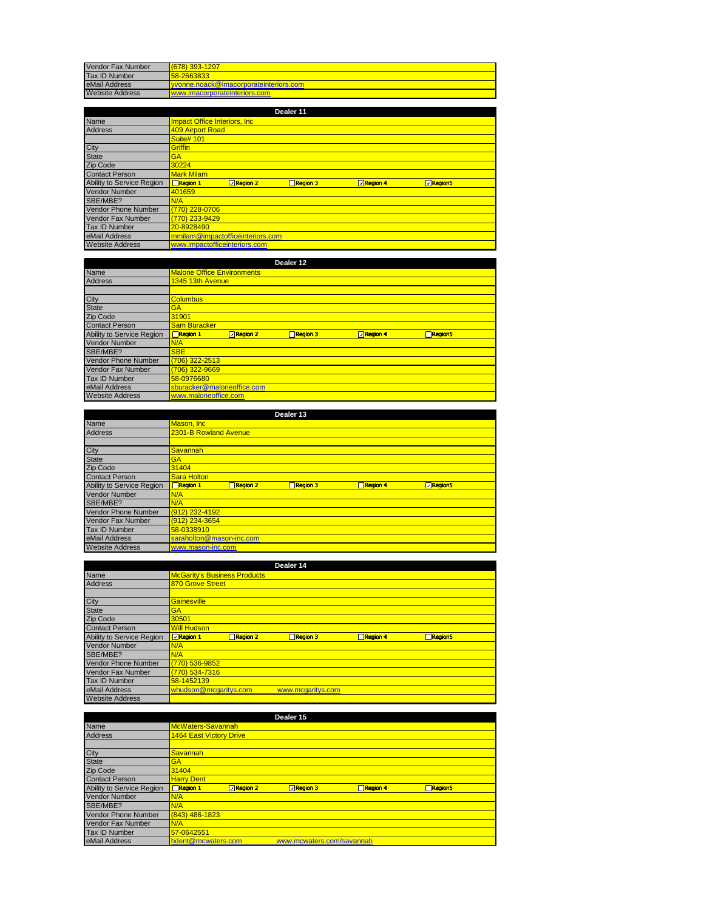| Vendor Fax Number      | 678) 393-1297                         |
|------------------------|---------------------------------------|
| Tax ID Number          | 58-2663833                            |
| eMail Address          | wonne.noack@imacorporateinteriors.com |
| <b>Website Address</b> | www.imacorporateinteriors.com         |

|                            |                                  |                   | Dealer 11       |                              |         |
|----------------------------|----------------------------------|-------------------|-----------------|------------------------------|---------|
| Name                       | Impact Office Interiors, Inc.    |                   |                 |                              |         |
| <b>Address</b>             | 409 Airport Road                 |                   |                 |                              |         |
|                            | <b>Suite# 101</b>                |                   |                 |                              |         |
| City                       | <b>Griffin</b>                   |                   |                 |                              |         |
| <b>State</b>               | <b>GA</b>                        |                   |                 |                              |         |
| Zip Code                   | 30224                            |                   |                 |                              |         |
| <b>Contact Person</b>      | <b>Mark Milam</b>                |                   |                 |                              |         |
| Ability to Service Region  | $\Box$ Region 1                  | <b>D</b> Region 2 | $\Box$ Region 3 | $\boxed{\triangle}$ Region 4 | Region5 |
| <b>Vendor Number</b>       | 401659                           |                   |                 |                              |         |
| SBE/MBE?                   | N/A                              |                   |                 |                              |         |
| <b>Vendor Phone Number</b> | (770) 228-0706                   |                   |                 |                              |         |
| <b>Vendor Fax Number</b>   | (770) 233-9429                   |                   |                 |                              |         |
| <b>Tax ID Number</b>       | 20-8928490                       |                   |                 |                              |         |
| eMail Address              | mmilam@impactofficeinteriors.com |                   |                 |                              |         |
| <b>Website Address</b>     | www.impactofficeinteriors.com    |                   |                 |                              |         |

|                            |                                   |                  | Dealer 12 |          |         |  |
|----------------------------|-----------------------------------|------------------|-----------|----------|---------|--|
| <b>Name</b>                | <b>Malone Office Environments</b> |                  |           |          |         |  |
| <b>Address</b>             | 1345 13th Avenue                  |                  |           |          |         |  |
|                            |                                   |                  |           |          |         |  |
| City                       | <b>Columbus</b>                   |                  |           |          |         |  |
| <b>State</b>               | <b>GA</b>                         |                  |           |          |         |  |
| Zip Code                   | 31901                             |                  |           |          |         |  |
| <b>Contact Person</b>      | <b>Sam Buracker</b>               |                  |           |          |         |  |
| Ability to Service Region  | $\Box$ Region 1                   | <b>⊡Region 2</b> | Region 3  | Region 4 | Region5 |  |
| <b>Vendor Number</b>       | N/A                               |                  |           |          |         |  |
| SBE/MBE?                   | <b>SBE</b>                        |                  |           |          |         |  |
| <b>Vendor Phone Number</b> | (706) 322-2513                    |                  |           |          |         |  |
| Vendor Fax Number          | (706) 322-9669                    |                  |           |          |         |  |
| <b>Tax ID Number</b>       | 58-0976680                        |                  |           |          |         |  |
| eMail Address              | sburacker@maloneoffice.com        |                  |           |          |         |  |
|                            |                                   |                  |           |          |         |  |

|                            |                             | Dealer 13       |                 |                                |  |
|----------------------------|-----------------------------|-----------------|-----------------|--------------------------------|--|
| Name                       | Mason, Inc.                 |                 |                 |                                |  |
| <b>Address</b>             | 2301-B Rowland Avenue       |                 |                 |                                |  |
|                            |                             |                 |                 |                                |  |
| City                       | Savannah                    |                 |                 |                                |  |
| <b>State</b>               | <b>GA</b>                   |                 |                 |                                |  |
| Zip Code                   | 31404                       |                 |                 |                                |  |
| <b>Contact Person</b>      | Sara Holton                 |                 |                 |                                |  |
| Ability to Service Region  | $\Box$ Region 1<br>Region 2 | $\Box$ Region 3 | $\Box$ Region 4 | <b><u><b>D</b></u></b> Region5 |  |
| <b>Vendor Number</b>       | N/A                         |                 |                 |                                |  |
| SBE/MBE?                   | N/A                         |                 |                 |                                |  |
| <b>Vendor Phone Number</b> | (912) 232-4192              |                 |                 |                                |  |
| <b>Vendor Fax Number</b>   | (912) 234-3654              |                 |                 |                                |  |
| <b>Tax ID Number</b>       | 58-0338910                  |                 |                 |                                |  |
| eMail Address              | saraholton@mason-inc.com    |                 |                 |                                |  |
| <b>Website Address</b>     | www.mason-inc.com           |                 |                 |                                |  |

|                            | Dealer 14                                                                           |
|----------------------------|-------------------------------------------------------------------------------------|
| <b>Name</b>                | <b>McGarity's Business Products</b>                                                 |
| <b>Address</b>             | 870 Grove Street                                                                    |
|                            |                                                                                     |
| City                       | Gainesville                                                                         |
| <b>State</b>               | <b>GA</b>                                                                           |
| Zip Code                   | 30501                                                                               |
| <b>Contact Person</b>      | <b>Will Hudson</b>                                                                  |
| Ability to Service Region  | <b>Region 1</b><br>$\Box$ Region 4<br>$\Box$ Region 2<br>$\Box$ Region 3<br>Region5 |
| <b>Vendor Number</b>       | N/A                                                                                 |
| SBE/MBE?                   | N/A                                                                                 |
| <b>Vendor Phone Number</b> | (770) 536-9852                                                                      |
| Vendor Fax Number          | (770) 534-7316                                                                      |
| <b>Tax ID Number</b>       | 58-1452139                                                                          |
| eMail Address              | whudson@mcgaritys.com<br>www.mcgaritys.com                                          |
| <b>Website Address</b>     |                                                                                     |

|                            |                                |                   | Dealer 15                 |                 |         |  |
|----------------------------|--------------------------------|-------------------|---------------------------|-----------------|---------|--|
| Name                       | McWaters-Savannah              |                   |                           |                 |         |  |
| <b>Address</b>             | <b>1464 East Victory Drive</b> |                   |                           |                 |         |  |
|                            |                                |                   |                           |                 |         |  |
| City                       | Savannah                       |                   |                           |                 |         |  |
| <b>State</b>               | <b>GA</b>                      |                   |                           |                 |         |  |
| Zip Code                   | 31404                          |                   |                           |                 |         |  |
| <b>Contact Person</b>      | <b>Harry Dent</b>              |                   |                           |                 |         |  |
| Ability to Service Region  | $\Box$ Region 1                | <b>□ Region 2</b> | $\n  Recation 3\n$        | $\Box$ Region 4 | Region5 |  |
| <b>Vendor Number</b>       | N/A                            |                   |                           |                 |         |  |
| SBE/MBE?                   | N/A                            |                   |                           |                 |         |  |
| <b>Vendor Phone Number</b> | (843) 486-1823                 |                   |                           |                 |         |  |
| <b>Vendor Fax Number</b>   | N/A                            |                   |                           |                 |         |  |
| <b>Tax ID Number</b>       | 57-0642551                     |                   |                           |                 |         |  |
| eMail Address              | hdent@mcwaters.com             |                   | www.mcwaters.com/savannah |                 |         |  |